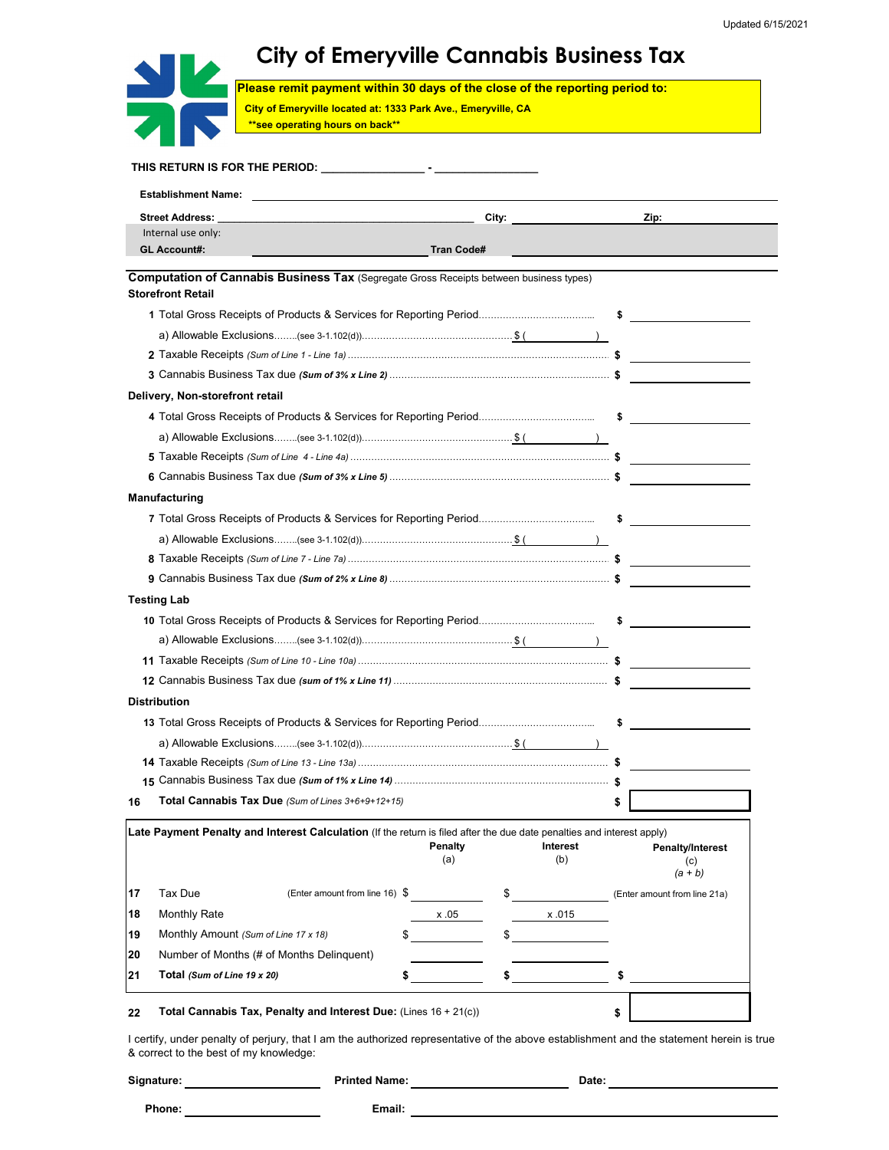## **City of Emeryville Cannabis Business Tax**

**Please remit payment within 30 days of the close of the reporting period to:** 

**City of Emeryville located at: 1333 Park Ave., Emeryville, CA \*\*see operating hours on back\*\*** 

| <b>Street Address:</b>                                                                                                 |                                | City:                 |                 | Zip:                           |  |
|------------------------------------------------------------------------------------------------------------------------|--------------------------------|-----------------------|-----------------|--------------------------------|--|
| Internal use only:                                                                                                     |                                |                       |                 |                                |  |
| <b>GL Account#:</b>                                                                                                    | <b>Tran Code#</b>              |                       |                 |                                |  |
| <b>Computation of Cannabis Business Tax (Segregate Gross Receipts between business types)</b>                          |                                |                       |                 |                                |  |
| <b>Storefront Retail</b>                                                                                               |                                |                       |                 |                                |  |
|                                                                                                                        |                                |                       |                 | $\sim$ 5                       |  |
|                                                                                                                        |                                |                       |                 |                                |  |
|                                                                                                                        |                                |                       |                 |                                |  |
|                                                                                                                        |                                |                       |                 |                                |  |
| Delivery, Non-storefront retail                                                                                        |                                |                       |                 |                                |  |
|                                                                                                                        |                                |                       |                 | $\sim$                         |  |
|                                                                                                                        |                                |                       |                 |                                |  |
|                                                                                                                        |                                |                       |                 |                                |  |
|                                                                                                                        |                                |                       |                 |                                |  |
| Manufacturing                                                                                                          |                                |                       |                 |                                |  |
|                                                                                                                        |                                |                       |                 |                                |  |
|                                                                                                                        |                                |                       |                 |                                |  |
|                                                                                                                        |                                |                       |                 |                                |  |
|                                                                                                                        |                                |                       |                 |                                |  |
| <b>Testing Lab</b>                                                                                                     |                                |                       |                 |                                |  |
|                                                                                                                        |                                |                       |                 | $\sim$ 5                       |  |
|                                                                                                                        |                                |                       |                 |                                |  |
|                                                                                                                        |                                |                       |                 |                                |  |
|                                                                                                                        |                                |                       |                 |                                |  |
| <b>Distribution</b>                                                                                                    |                                |                       |                 |                                |  |
|                                                                                                                        |                                |                       |                 | $\sim$ 5                       |  |
|                                                                                                                        |                                |                       |                 |                                |  |
|                                                                                                                        |                                |                       |                 |                                |  |
|                                                                                                                        |                                |                       |                 |                                |  |
| Total Cannabis Tax Due (Sum of Lines 3+6+9+12+15)<br>16                                                                |                                |                       |                 | \$                             |  |
|                                                                                                                        |                                |                       |                 |                                |  |
| Late Payment Penalty and Interest Calculation (If the return is filed after the due date penalties and interest apply) |                                |                       | <b>Interest</b> |                                |  |
|                                                                                                                        |                                | <b>Penalty</b><br>(a) | (b)             | <b>Penalty/Interest</b><br>(c) |  |
|                                                                                                                        |                                |                       |                 | $(a + b)$                      |  |
| Tax Due<br>17                                                                                                          | (Enter amount from line 16) \$ | \$                    |                 | (Enter amount from line 21a)   |  |
| 18<br><b>Monthly Rate</b>                                                                                              |                                | x.05                  | x.015           |                                |  |
| Monthly Amount (Sum of Line 17 x 18)<br>19                                                                             | \$                             |                       |                 |                                |  |
| 20<br>Number of Months (# of Months Delinquent)                                                                        |                                |                       |                 |                                |  |
| 21<br>Total (Sum of Line 19 x 20)                                                                                      |                                |                       |                 |                                |  |

I certify, under penalty of perjury, that I am the authorized representative of the above establishment and the statement herein is true & correct to the best of my knowledge:

| Signature: | <b>Printed Name:</b> | Date. |
|------------|----------------------|-------|
|            |                      |       |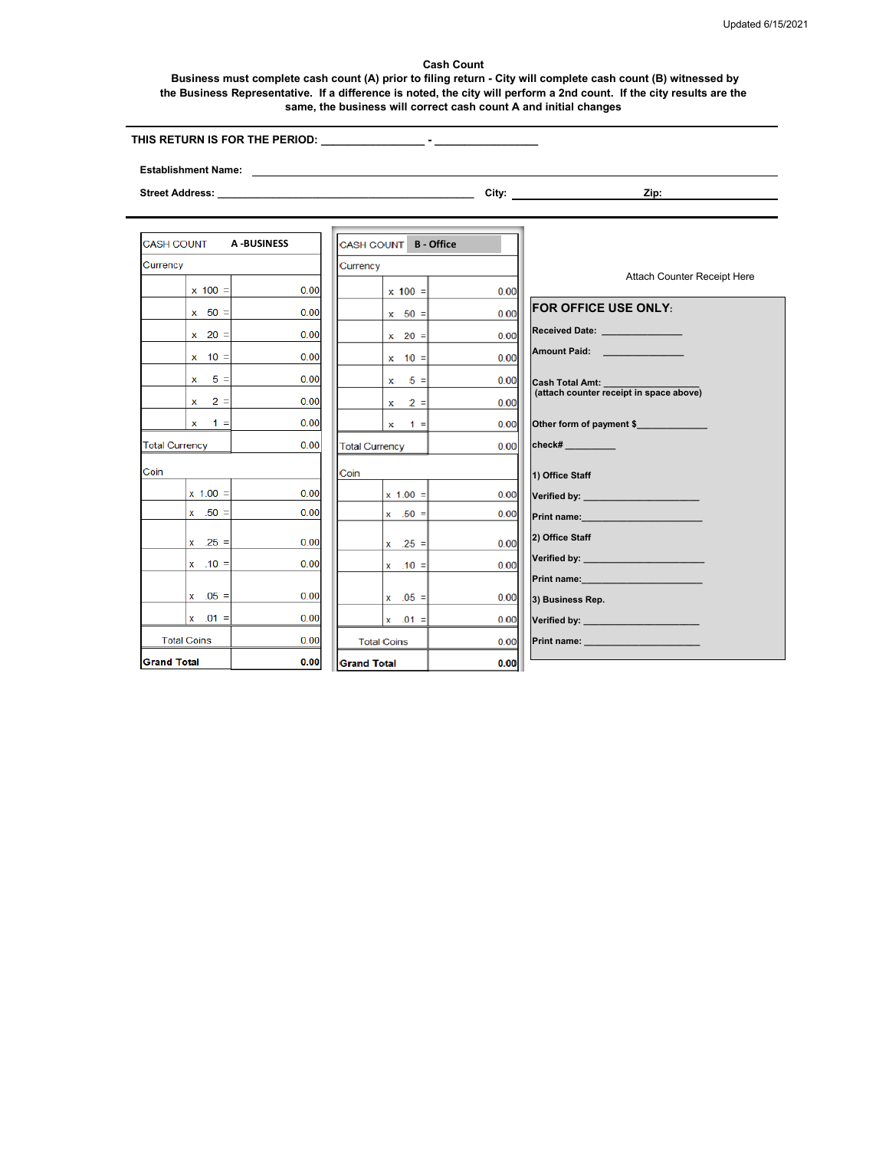## **Cash Count**

 **Business must complete cash count (A) prior to filing return - City will complete cash count (B) witnessed by the Business Representative. If a difference is noted, the city will perform a 2nd count. If the city results are the same, the business will correct cash count A and initial changes**

 **THIS RETURN IS FOR THE PERIOD: \_\_\_\_\_\_\_\_\_\_\_\_\_\_\_\_\_ - \_\_\_\_\_\_\_\_\_\_\_\_\_\_\_\_\_** 

**Establishment Name:**

**Street Address: \_\_\_\_\_\_\_\_\_\_\_\_\_\_\_\_\_\_\_\_\_\_\_\_\_\_\_\_\_\_\_\_\_\_\_\_\_\_\_\_\_\_\_\_\_\_ City: Zip:**

| <b>CASH COUNT</b><br><b>A-BUSINESS</b> |      | CASH COUNT B - Office     |              |                                                                                                                                                                                                                                |
|----------------------------------------|------|---------------------------|--------------|--------------------------------------------------------------------------------------------------------------------------------------------------------------------------------------------------------------------------------|
| Currency                               |      | Currency                  |              |                                                                                                                                                                                                                                |
| $x = 100 =$                            | 0.00 | $x = 100 =$               | 0.00         | Attach Counter Receipt Here                                                                                                                                                                                                    |
| $x = 50 =$                             | 0.00 | $x = 50 =$                | 0.00         | <b>FOR OFFICE USE ONLY:</b>                                                                                                                                                                                                    |
| $x = 20 =$                             | 0.00 | $x \quad 20 =$            | 0.00         | Received Date: _________________                                                                                                                                                                                               |
| $x = 10 =$                             | 0.00 | $x = 10 =$                | 0.00         | Amount Paid: Amount Paid:                                                                                                                                                                                                      |
| $5 =$<br><b>X</b>                      | 0.00 | $x = 5 =$                 | 0.00         | Cash Total Amt: ___________                                                                                                                                                                                                    |
| $2 =$<br><b>X</b>                      | 0.00 | $x \quad 2 =$             | 0.00         | (attach counter receipt in space above)                                                                                                                                                                                        |
| $x \neq 1 =$                           | 0.00 | $x \neq 1 =$              | 0.00         | Other form of payment \$                                                                                                                                                                                                       |
| <b>Total Currency</b>                  | 0.00 | <b>Total Currency</b>     | 0.00         | check# __________                                                                                                                                                                                                              |
| Coin                                   |      | Coin                      |              |                                                                                                                                                                                                                                |
| $x = 1.00 =$                           | 0.00 | $x = 1.00 =$              | 0.00         | 1) Office Staff<br>Verified by: Verified by:                                                                                                                                                                                   |
| $x = .50 =$                            | 0.00 | $x = .50 =$               | 0.00         | <b>Print name: Example 2008</b>                                                                                                                                                                                                |
| $x = 25 =$                             | 0.00 |                           |              | 2) Office Staff                                                                                                                                                                                                                |
| $x = 10 =$                             | 0.00 | $x = 25 =$<br>$x = .10 =$ | 0.00<br>0.00 | Verified by: Verified by:                                                                                                                                                                                                      |
|                                        |      |                           |              | Print name: New York Print name:                                                                                                                                                                                               |
| $x = 0.05 =$                           | 0.00 | $x = 0.05 =$              | 0.00         | 3) Business Rep.                                                                                                                                                                                                               |
| $x = .01 =$                            | 0.00 | $x = 01 =$                | 0.00         | Verified by: Verified by:                                                                                                                                                                                                      |
| <b>Total Coins</b>                     | 0.00 | <b>Total Coins</b>        | 0.00         | Print name: New York Street, New York Street, New York Street, New York Street, New York Street, New York Street, New York Street, New York Street, New York Street, New York Street, New York Street, New York Street, New Yo |
| <b>Grand Total</b>                     | 0.00 | <b>Grand Total</b>        | 0.00         |                                                                                                                                                                                                                                |